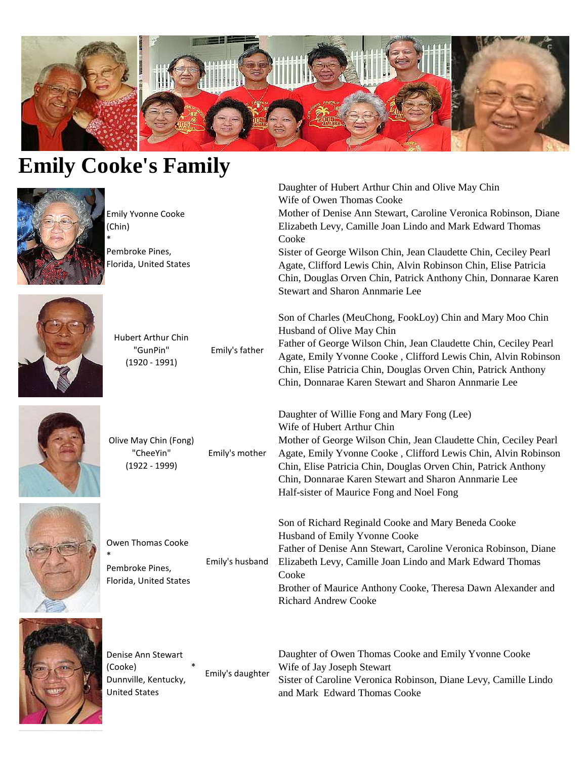

Cooke

Daughter of Hubert Arthur Chin and Olive May Chin

Mother of Denise Ann Stewart, Caroline Veronica Robinson, Diane Elizabeth Levy, Camille Joan Lindo and Mark Edward Thomas

Sister of George Wilson Chin, Jean Claudette Chin, Ceciley Pearl Agate, Clifford Lewis Chin, Alvin Robinson Chin, Elise Patricia Chin, Douglas Orven Chin, Patrick Anthony Chin, Donnarae Karen

Son of Charles (MeuChong, FookLoy) Chin and Mary Moo Chin

Father of George Wilson Chin, Jean Claudette Chin, Ceciley Pearl Agate, Emily Yvonne Cooke , Clifford Lewis Chin, Alvin Robinson Chin, Elise Patricia Chin, Douglas Orven Chin, Patrick Anthony Chin, Donnarae Karen Stewart and Sharon Annmarie Lee

Mother of George Wilson Chin, Jean Claudette Chin, Ceciley Pearl Agate, Emily Yvonne Cooke , Clifford Lewis Chin, Alvin Robinson Chin, Elise Patricia Chin, Douglas Orven Chin, Patrick Anthony

Chin, Donnarae Karen Stewart and Sharon Annmarie Lee

Wife of Owen Thomas Cooke

Stewart and Sharon Annmarie Lee

Daughter of Willie Fong and Mary Fong (Lee)

Half-sister of Maurice Fong and Noel Fong

Husband of Olive May Chin

Wife of Hubert Arthur Chin

## **Emily Cooke's Family**



Emily Yvonne Cooke (Chin) \*

Pembroke Pines, Florida, United States



Hubert Arthur Chin "GunPin" (1920 - 1991) Emily's father



Olive May Chin (Fong) "CheeYin" (1922 - 1999) Emily's mother



| Owen Thomas Cooke<br>$\ast$<br>Pembroke Pines,<br>Florida, United States | Emily's husband | Son of Richard Reginald Cooke and Mary Beneda Cooke<br>Husband of Emily Yvonne Cooke<br>Father of Denise Ann Stewart, Caroline Veronica Robinson, Diane<br>Elizabeth Levy, Camille Joan Lindo and Mark Edward Thomas<br>Cooke<br>Brother of Maurice Anthony Cooke, Theresa Dawn Alexander and<br><b>Richard Andrew Cooke</b> |
|--------------------------------------------------------------------------|-----------------|------------------------------------------------------------------------------------------------------------------------------------------------------------------------------------------------------------------------------------------------------------------------------------------------------------------------------|
|--------------------------------------------------------------------------|-----------------|------------------------------------------------------------------------------------------------------------------------------------------------------------------------------------------------------------------------------------------------------------------------------------------------------------------------------|



Denise Ann Stewart (Cooke) \* Dunnville, Kentucky, United States Emily's daughter Daughter of Owen Thomas Cooke and Emily Yvonne Cooke Wife of Jay Joseph Stewart Sister of Caroline Veronica Robinson, Diane Levy, Camille Lindo and Mark Edward Thomas Cooke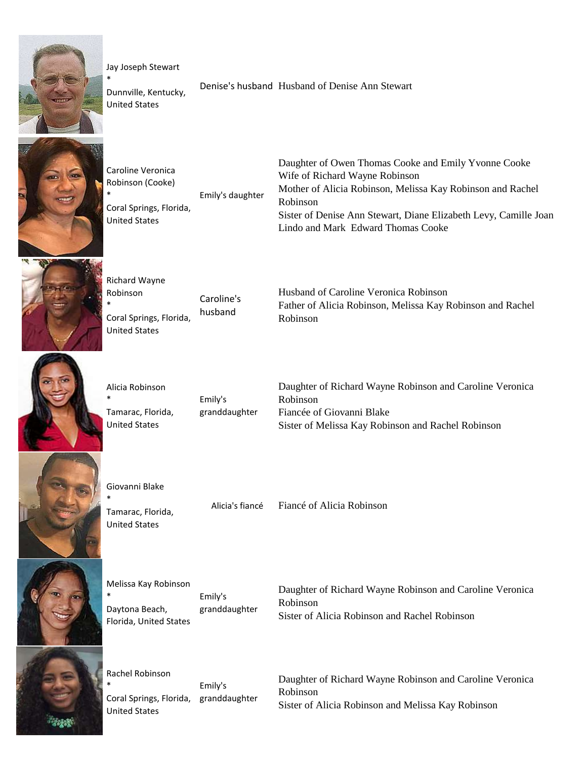

Jay Joseph Stewart

Dunnville, Kentucky, United States

\*

\*

Denise's husband Husband of Denise Ann Stewart



Caroline Veronica Robinson (Cooke) Coral Springs, Florida, United States Emily's daughter Daughter of Owen Thomas Cooke and Emily Yvonne Cooke Wife of Richard Wayne Robinson Mother of Alicia Robinson, Melissa Kay Robinson and Rachel Robinson Sister of Denise Ann Stewart, Diane Elizabeth Levy, Camille Joan Lindo and Mark Edward Thomas Cooke



| Richard Wayne                                                      |                       |                                                                                                                 |
|--------------------------------------------------------------------|-----------------------|-----------------------------------------------------------------------------------------------------------------|
| Robinson<br>' ≭<br>Coral Springs, Florida,<br><b>United States</b> | Caroline's<br>husband | Husband of Caroline Veronica Robinson<br>Father of Alicia Robinson, Melissa Kay Robinson and Rachel<br>Robinson |



Alicia Robinson \* Tamarac, Florida, United States

Emily's granddaughter Daughter of Richard Wayne Robinson and Caroline Veronica Robinson Fiancée of Giovanni Blake Sister of Melissa Kay Robinson and Rachel Robinson



Giovanni Blake \*

Tamarac, Florida, United States

\*

Alicia's fiancé Fiancé of Alicia Robinson



Melissa Kay Robinson Daytona Beach, Florida, United States Emily's granddaughter

Daughter of Richard Wayne Robinson and Caroline Veronica Robinson Sister of Alicia Robinson and Rachel Robinson

Rachel Robinson \* Coral Springs, Florida, granddaughter United States Emily's

Daughter of Richard Wayne Robinson and Caroline Veronica Robinson Sister of Alicia Robinson and Melissa Kay Robinson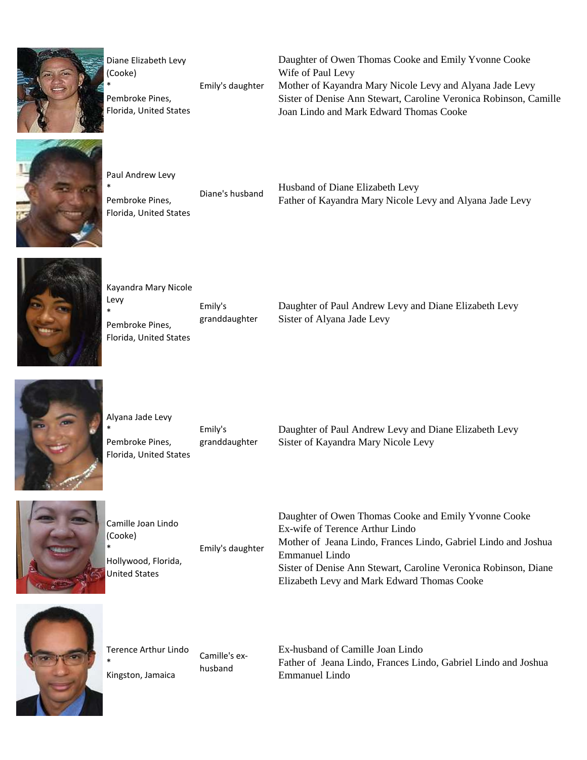

Diane Elizabeth Levy (Cooke) \* Emily's daughter

Pembroke Pines, Florida, United States Daughter of Owen Thomas Cooke and Emily Yvonne Cooke Wife of Paul Levy Mother of Kayandra Mary Nicole Levy and Alyana Jade Levy Sister of Denise Ann Stewart, Caroline Veronica Robinson, Camille Joan Lindo and Mark Edward Thomas Cooke



\*

\*

Paul Andrew Levy Pembroke Pines, Florida, United States

Diane's husband Husband of Diane Elizabeth Levy Father of Kayandra Mary Nicole Levy and Alyana Jade Levy



Kayandra Mary Nicole Levy \* Pembroke Pines, Florida, United States Emily's granddaughter

Daughter of Paul Andrew Levy and Diane Elizabeth Levy Sister of Alyana Jade Levy



Alyana Jade Levy Pembroke Pines, Florida, United States Emily's granddaughter

Daughter of Paul Andrew Levy and Diane Elizabeth Levy Sister of Kayandra Mary Nicole Levy



Camille Joan Lindo (Cooke) \* Hollywood, Florida, United States Emily's daughter

Daughter of Owen Thomas Cooke and Emily Yvonne Cooke Ex-wife of Terence Arthur Lindo Mother of Jeana Lindo, Frances Lindo, Gabriel Lindo and Joshua Emmanuel Lindo Sister of Denise Ann Stewart, Caroline Veronica Robinson, Diane Elizabeth Levy and Mark Edward Thomas Cooke



Terence Arthur Lindo \* Kingston, Jamaica Camille's exhusband

Ex-husband of Camille Joan Lindo Father of Jeana Lindo, Frances Lindo, Gabriel Lindo and Joshua Emmanuel Lindo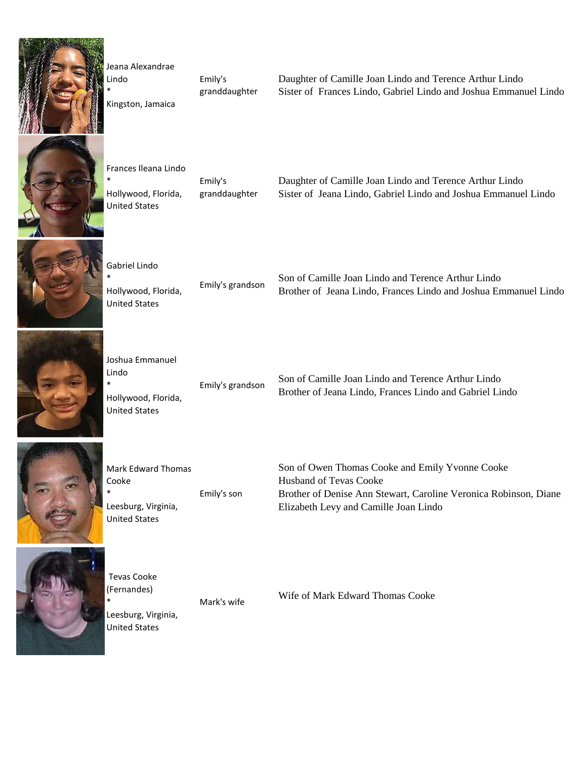

Jeana Alexandrae Lindo \* Kingston, Jamaica

\*

\*

United States

Emily's granddaughter Daughter of Camille Joan Lindo and Terence Arthur Lindo Sister of Frances Lindo, Gabriel Lindo and Joshua Emmanuel Lindo



Frances Ileana Lindo Hollywood, Florida, United States Emily's granddaughter

Daughter of Camille Joan Lindo and Terence Arthur Lindo Sister of Jeana Lindo, Gabriel Lindo and Joshua Emmanuel Lindo



Gabriel Lindo Hollywood, Florida,

Emily's grandson Son of Camille Joan Lindo and Terence Arthur Lindo Brother of Jeana Lindo, Frances Lindo and Joshua Emmanuel Lindo



Joshua Emmanuel Lindo \* Hollywood, Florida, United States

Emily's grandson Son of Camille Joan Lindo and Terence Arthur Lindo Brother of Jeana Lindo, Frances Lindo and Gabriel Lindo



Mark Edward Thomas Cooke \* Leesburg, Virginia, United States Emily's son Son of Owen Thomas Cooke and Emily Yvonne Cooke Husband of Tevas Cooke Brother of Denise Ann Stewart, Caroline Veronica Robinson, Diane Elizabeth Levy and Camille Joan Lindo



 Tevas Cooke (Fernandes) \* Leesburg, Virginia, United States

Mark's wife Wife of Mark Edward Thomas Cooke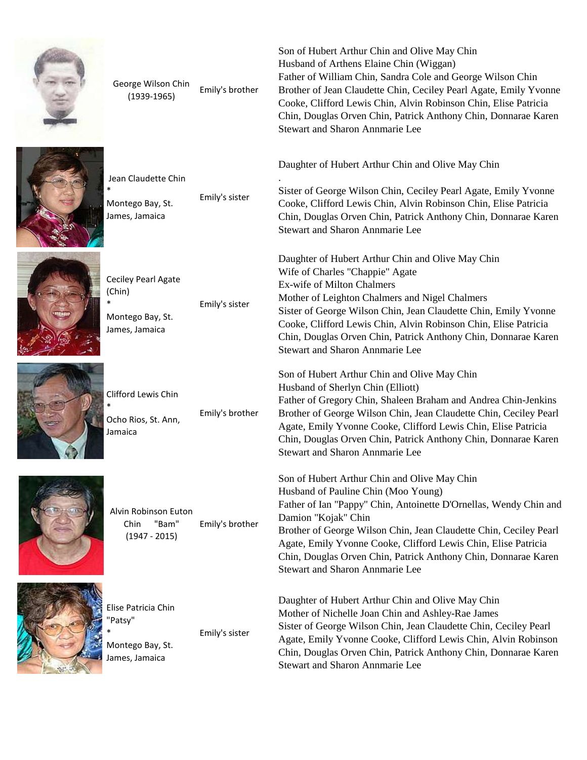



 Jean Claudette Chin \* Montego Bay, St. James, Jamaica Emily's sister

rige wilsom crimically's brother<br>(1939-1965)

.

George Wilson Chin



Ceciley Pearl Agate (Chin) \* Montego Bay, St. James, Jamaica Emily's sister





Emily's brother

Alvin Robinson Euton Chin "Bam" (1947 - 2015) Emily's brother



Elise Patricia Chin "Patsy" Montego Bay, St. Emily's sister

James, Jamaica

\*

Son of Hubert Arthur Chin and Olive May Chin Husband of Arthens Elaine Chin (Wiggan) Father of William Chin, Sandra Cole and George Wilson Chin Brother of Jean Claudette Chin, Ceciley Pearl Agate, Emily Yvonne Cooke, Clifford Lewis Chin, Alvin Robinson Chin, Elise Patricia Chin, Douglas Orven Chin, Patrick Anthony Chin, Donnarae Karen Stewart and Sharon Annmarie Lee

Daughter of Hubert Arthur Chin and Olive May Chin

Sister of George Wilson Chin, Ceciley Pearl Agate, Emily Yvonne Cooke, Clifford Lewis Chin, Alvin Robinson Chin, Elise Patricia Chin, Douglas Orven Chin, Patrick Anthony Chin, Donnarae Karen Stewart and Sharon Annmarie Lee

Daughter of Hubert Arthur Chin and Olive May Chin Wife of Charles "Chappie" Agate Ex-wife of Milton Chalmers Mother of Leighton Chalmers and Nigel Chalmers Sister of George Wilson Chin, Jean Claudette Chin, Emily Yvonne Cooke, Clifford Lewis Chin, Alvin Robinson Chin, Elise Patricia Chin, Douglas Orven Chin, Patrick Anthony Chin, Donnarae Karen Stewart and Sharon Annmarie Lee

Son of Hubert Arthur Chin and Olive May Chin Husband of Sherlyn Chin (Elliott) Father of Gregory Chin, Shaleen Braham and Andrea Chin-Jenkins Brother of George Wilson Chin, Jean Claudette Chin, Ceciley Pearl Agate, Emily Yvonne Cooke, Clifford Lewis Chin, Elise Patricia Chin, Douglas Orven Chin, Patrick Anthony Chin, Donnarae Karen Stewart and Sharon Annmarie Lee

Son of Hubert Arthur Chin and Olive May Chin Husband of Pauline Chin (Moo Young) Father of Ian "Pappy" Chin, Antoinette D'Ornellas, Wendy Chin and Damion "Kojak" Chin Brother of George Wilson Chin, Jean Claudette Chin, Ceciley Pearl Agate, Emily Yvonne Cooke, Clifford Lewis Chin, Elise Patricia Chin, Douglas Orven Chin, Patrick Anthony Chin, Donnarae Karen Stewart and Sharon Annmarie Lee

Daughter of Hubert Arthur Chin and Olive May Chin Mother of Nichelle Joan Chin and Ashley-Rae James Sister of George Wilson Chin, Jean Claudette Chin, Ceciley Pearl Agate, Emily Yvonne Cooke, Clifford Lewis Chin, Alvin Robinson Chin, Douglas Orven Chin, Patrick Anthony Chin, Donnarae Karen Stewart and Sharon Annmarie Lee